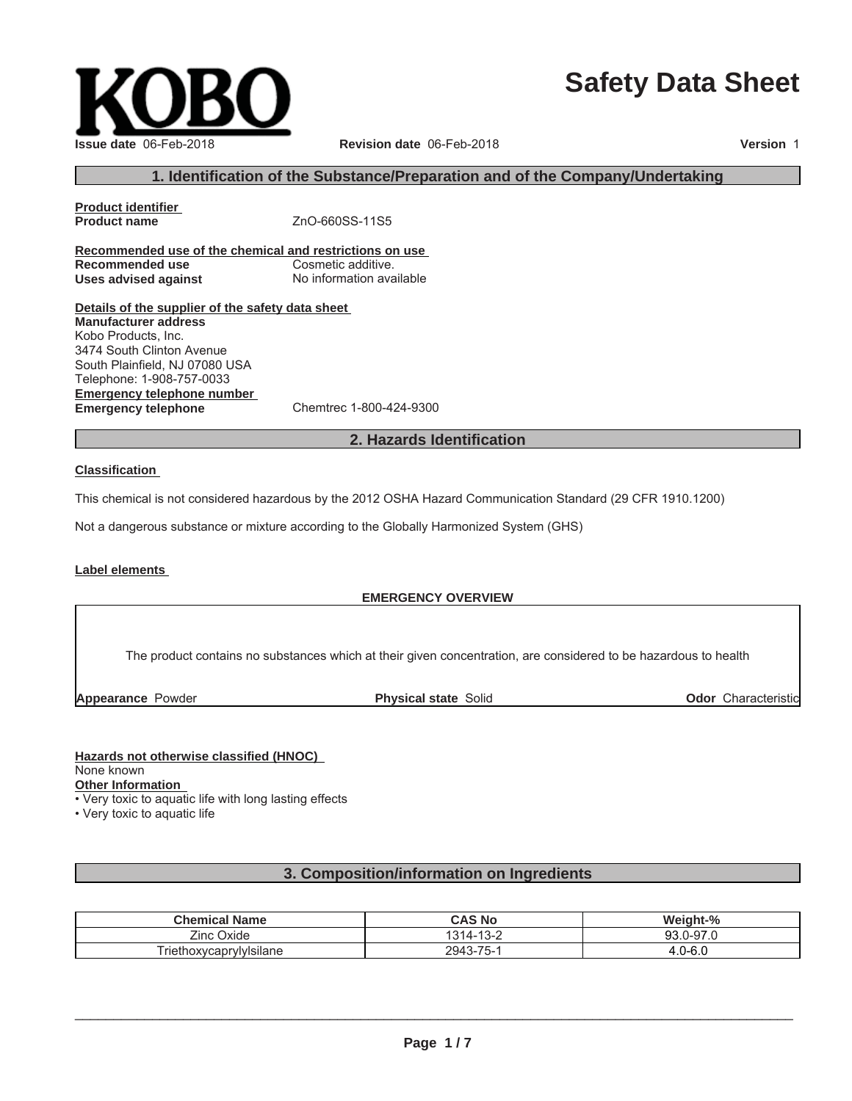# **Safety Data Sheet**

| Issue date 06-Feb-2018 |
|------------------------|

### **Issue date** 06-Feb-2018 **Revision date** 06-Feb-2018 **Version** 1

# **1. Identification of the Substance/Preparation and of the Company/Undertaking**

**Product identifier Product name** ZnO-660SS-11S5 **Recommended use of the chemical and restrictions on use Recommended use** Cosmetic additive. **Uses advised against** No information available

**Details of the supplier of the safety data sheet**

**Emergency telephone number Emergency telephone** Chemtrec 1-800-424-9300 **Manufacturer address** Kobo Products, Inc. 3474 South Clinton Avenue South Plainfield, NJ 07080 USA Telephone: 1-908-757-0033

# **2. Hazards Identification**

#### **Classification**

This chemical is not considered hazardous by the 2012 OSHA Hazard Communication Standard (29 CFR 1910.1200)

Not a dangerous substance or mixture according to the Globally Harmonized System (GHS)

#### **Label elements**

#### **EMERGENCY OVERVIEW**

The product contains no substances which at their given concentration, are considered to be hazardous to health

**Appearance** Powder **Physical state** Solid

**Odor** Characteristic

#### **Hazards not otherwise classified (HNOC)**

None known

**Other Information**

• Very toxic to aquatic life with long lasting effects

• Very toxic to aquatic life

# **3. Composition/information on Ingredients**

| <b>Chemical Name</b>    | CAS No                      | Weight-%            |
|-------------------------|-----------------------------|---------------------|
| Zinc<br>Oxide           | $\sqrt{2}$<br>314-<br>ے−ں ⊢ | .J-97 r<br>റാ<br>ອບ |
| Friethoxycaprylylsilane | 75<br>2943<br>3-15-         | $.0 - 6.0$          |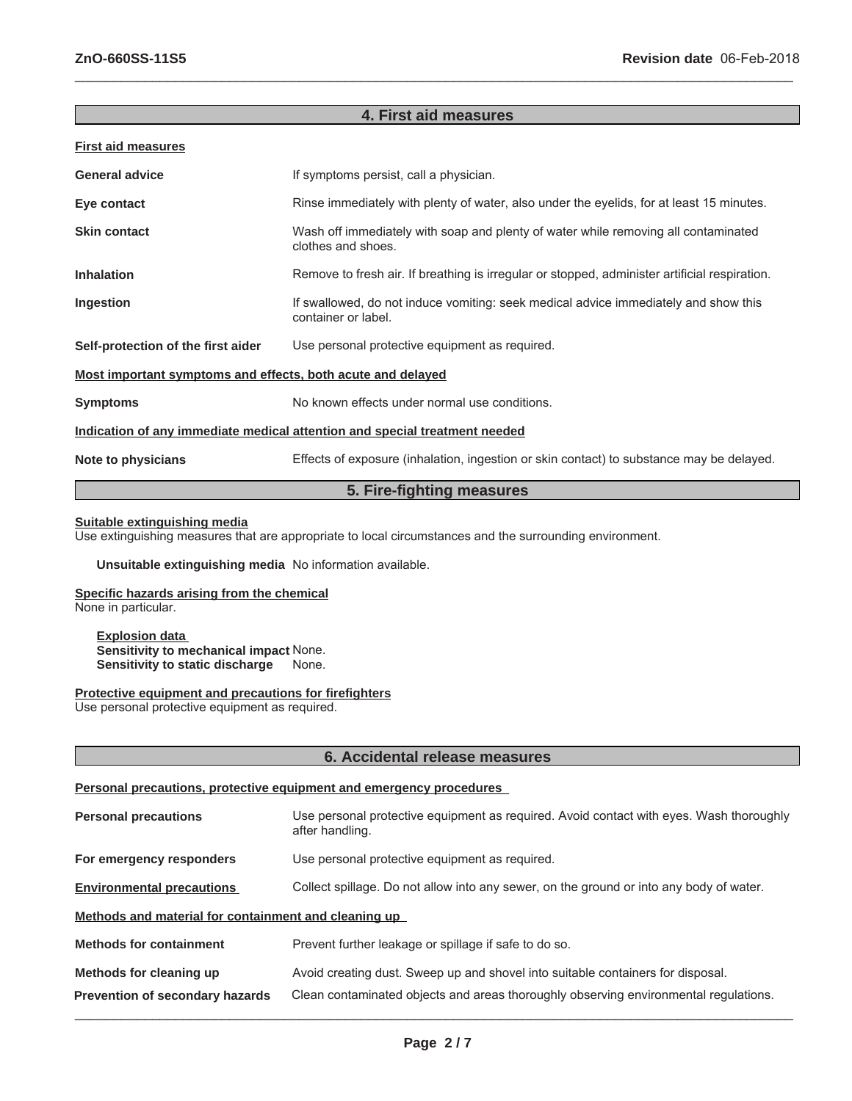# **4. First aid measures**

 $\_$  ,  $\_$  ,  $\_$  ,  $\_$  ,  $\_$  ,  $\_$  ,  $\_$  ,  $\_$  ,  $\_$  ,  $\_$  ,  $\_$  ,  $\_$  ,  $\_$  ,  $\_$  ,  $\_$  ,  $\_$  ,  $\_$  ,  $\_$  ,  $\_$  ,  $\_$  ,  $\_$  ,  $\_$  ,  $\_$  ,  $\_$  ,  $\_$  ,  $\_$  ,  $\_$  ,  $\_$  ,  $\_$  ,  $\_$  ,  $\_$  ,  $\_$  ,  $\_$  ,  $\_$  ,  $\_$  ,  $\_$  ,  $\_$  ,

|--|

| <b>General advice</b>                                                      | If symptoms persist, call a physician.                                                                     |  |  |
|----------------------------------------------------------------------------|------------------------------------------------------------------------------------------------------------|--|--|
| Eye contact                                                                | Rinse immediately with plenty of water, also under the eyelids, for at least 15 minutes.                   |  |  |
| <b>Skin contact</b>                                                        | Wash off immediately with soap and plenty of water while removing all contaminated<br>clothes and shoes.   |  |  |
| <b>Inhalation</b>                                                          | Remove to fresh air. If breathing is irregular or stopped, administer artificial respiration.              |  |  |
| Ingestion                                                                  | If swallowed, do not induce vomiting: seek medical advice immediately and show this<br>container or label. |  |  |
| Self-protection of the first aider                                         | Use personal protective equipment as required.                                                             |  |  |
| <u>Most important symptoms and effects, both acute and delayed</u>         |                                                                                                            |  |  |
| <b>Symptoms</b>                                                            | No known effects under normal use conditions.                                                              |  |  |
| Indication of any immediate medical attention and special treatment needed |                                                                                                            |  |  |
| Note to physicians                                                         | Effects of exposure (inhalation, ingestion or skin contact) to substance may be delayed.                   |  |  |
| 5. Fire-fighting measures                                                  |                                                                                                            |  |  |

#### **Suitable extinguishing media**

Use extinguishing measures that are appropriate to local circumstances and the surrounding environment.

**Unsuitable extinguishing media** No information available.

# **Specific hazards arising from the chemical**

None in particular.

**Explosion data Sensitivity to mechanical impact None.**<br>**Sensitivity to static discharge** None. **Sensitivity to static discharge** 

#### **Protective equipment and precautions for firefighters**

Use personal protective equipment as required.

# **6. Accidental release measures**

#### **Personal precautions, protective equipment and emergency procedures**

| <b>Personal precautions</b>                          | Use personal protective equipment as required. Avoid contact with eyes. Wash thoroughly<br>after handling. |  |
|------------------------------------------------------|------------------------------------------------------------------------------------------------------------|--|
| For emergency responders                             | Use personal protective equipment as required.                                                             |  |
| <b>Environmental precautions</b>                     | Collect spillage. Do not allow into any sewer, on the ground or into any body of water.                    |  |
| Methods and material for containment and cleaning up |                                                                                                            |  |
| <b>Methods for containment</b>                       | Prevent further leakage or spillage if safe to do so.                                                      |  |
| Methods for cleaning up                              | Avoid creating dust. Sweep up and shovel into suitable containers for disposal.                            |  |
| <b>Prevention of secondary hazards</b>               | Clean contaminated objects and areas thoroughly observing environmental regulations.                       |  |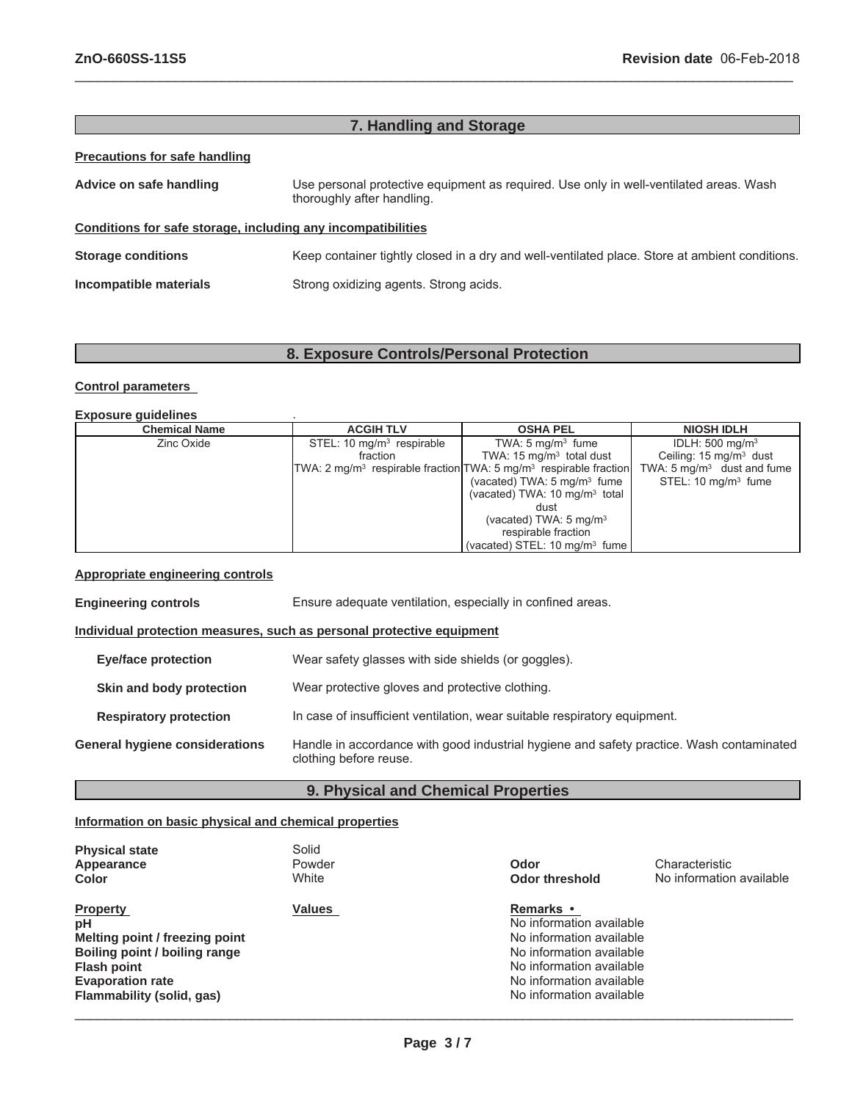# **7. Handling and Storage**

 $\_$  ,  $\_$  ,  $\_$  ,  $\_$  ,  $\_$  ,  $\_$  ,  $\_$  ,  $\_$  ,  $\_$  ,  $\_$  ,  $\_$  ,  $\_$  ,  $\_$  ,  $\_$  ,  $\_$  ,  $\_$  ,  $\_$  ,  $\_$  ,  $\_$  ,  $\_$  ,  $\_$  ,  $\_$  ,  $\_$  ,  $\_$  ,  $\_$  ,  $\_$  ,  $\_$  ,  $\_$  ,  $\_$  ,  $\_$  ,  $\_$  ,  $\_$  ,  $\_$  ,  $\_$  ,  $\_$  ,  $\_$  ,  $\_$  ,

#### **Precautions for safe handling**

| Advice on safe handling                                      | Use personal protective equipment as required. Use only in well-ventilated areas. Wash<br>thoroughly after handling. |
|--------------------------------------------------------------|----------------------------------------------------------------------------------------------------------------------|
| Conditions for safe storage, including any incompatibilities |                                                                                                                      |
| <b>Storage conditions</b>                                    | Keep container tightly closed in a dry and well-ventilated place. Store at ambient conditions.                       |
| Incompatible materials                                       | Strong oxidizing agents. Strong acids.                                                                               |

# **8. Exposure Controls/Personal Protection**

#### **Control parameters**

**Exposure guidelines** .

| <b>Chemical Name</b> | <b>ACGIH TLV</b>                      | <b>OSHA PEL</b>                                                                             | <b>NIOSH IDLH</b>                     |
|----------------------|---------------------------------------|---------------------------------------------------------------------------------------------|---------------------------------------|
| Zinc Oxide           | STEL: 10 mg/m <sup>3</sup> respirable | TWA: $5 \text{ mg/m}^3$ fume                                                                | IDLH: $500 \text{ mg/m}^3$            |
|                      | fraction                              | TWA: $15 \text{ mg/m}^3$ total dust                                                         | Ceiling: $15 \text{ mg/m}^3$ dust     |
|                      |                                       | TWA: 2 mg/m <sup>3</sup> respirable fraction $TWA: 5$ mg/m <sup>3</sup> respirable fraction | TWA: $5 \text{ mg/m}^3$ dust and fume |
|                      |                                       | (vacated) TWA: $5 \text{ mg/m}^3$ fume                                                      | STEL: $10 \text{ mg/m}^3$ fume        |
|                      |                                       | (vacated) TWA: $10 \text{ mg/m}^3$ total                                                    |                                       |
|                      |                                       | dust                                                                                        |                                       |
|                      |                                       | (vacated) TWA: $5 \text{ mg/m}^3$                                                           |                                       |
|                      |                                       | respirable fraction                                                                         |                                       |
|                      |                                       | (vacated) STEL: 10 $mq/m3$ fume                                                             |                                       |

# **Appropriate engineering controls**

**Engineering controls** Ensure adequate ventilation, especially in confined areas. **Individual protection measures, such as personal protective equipment Eye/face protection** Wear safety glasses with side shields (or goggles). **Skin and body protection** Wear protective gloves and protective clothing. **Respiratory protection** In case of insufficient ventilation, wear suitable respiratory equipment. **General hygiene considerations** Handle in accordance with good industrial hygiene and safety practice. Wash contaminated clothing before reuse.

# **9. Physical and Chemical Properties**

#### **Information on basic physical and chemical properties**

| <b>Physical state</b><br>Appearance<br><b>Color</b>                                                                                                                    | Solid<br>Powder<br>White | Odor<br><b>Odor threshold</b>                                                                                                                                                            | Characteristic<br>No information available |
|------------------------------------------------------------------------------------------------------------------------------------------------------------------------|--------------------------|------------------------------------------------------------------------------------------------------------------------------------------------------------------------------------------|--------------------------------------------|
| <b>Property</b><br>рH<br>Melting point / freezing point<br>Boiling point / boiling range<br><b>Flash point</b><br><b>Evaporation rate</b><br>Flammability (solid, gas) | <b>Values</b>            | <b>Remarks</b> •<br>No information available<br>No information available<br>No information available<br>No information available<br>No information available<br>No information available |                                            |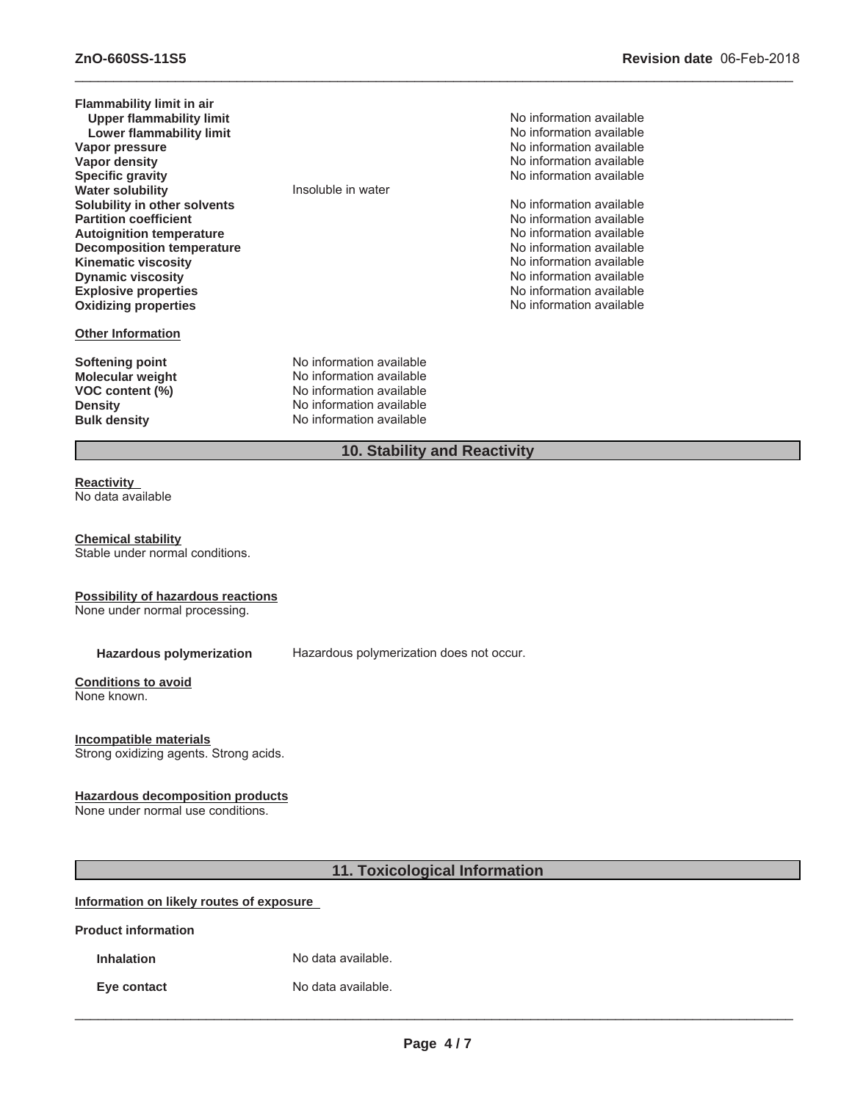| <b>Flammability limit in air</b> |                              |                          |
|----------------------------------|------------------------------|--------------------------|
| <b>Upper flammability limit</b>  |                              | No information available |
| Lower flammability limit         |                              | No information available |
| Vapor pressure                   |                              | No information available |
| Vapor density                    |                              | No information available |
| <b>Specific gravity</b>          |                              | No information available |
| <b>Water solubility</b>          | Insoluble in water           |                          |
| Solubility in other solvents     |                              | No information available |
| <b>Partition coefficient</b>     |                              | No information available |
| <b>Autoignition temperature</b>  |                              | No information available |
| <b>Decomposition temperature</b> |                              | No information available |
| <b>Kinematic viscosity</b>       |                              | No information available |
| <b>Dynamic viscosity</b>         |                              | No information available |
| <b>Explosive properties</b>      |                              | No information available |
| <b>Oxidizing properties</b>      |                              | No information available |
| <b>Other Information</b>         |                              |                          |
| Softening point                  | No information available     |                          |
| <b>Molecular weight</b>          | No information available     |                          |
| VOC content (%)                  | No information available     |                          |
| <b>Density</b>                   | No information available     |                          |
| <b>Bulk density</b>              | No information available     |                          |
|                                  | 10. Stability and Reactivity |                          |

 $\_$  ,  $\_$  ,  $\_$  ,  $\_$  ,  $\_$  ,  $\_$  ,  $\_$  ,  $\_$  ,  $\_$  ,  $\_$  ,  $\_$  ,  $\_$  ,  $\_$  ,  $\_$  ,  $\_$  ,  $\_$  ,  $\_$  ,  $\_$  ,  $\_$  ,  $\_$  ,  $\_$  ,  $\_$  ,  $\_$  ,  $\_$  ,  $\_$  ,  $\_$  ,  $\_$  ,  $\_$  ,  $\_$  ,  $\_$  ,  $\_$  ,  $\_$  ,  $\_$  ,  $\_$  ,  $\_$  ,  $\_$  ,  $\_$  ,

#### **Reactivity** No data available

**Chemical stability** Stable under normal conditions.

#### **Possibility of hazardous reactions**

None under normal processing.

**Hazardous polymerization** Hazardous polymerization does not occur.

# **Conditions to avoid**

None known.

#### **Incompatible materials**

Strong oxidizing agents. Strong acids.

#### **Hazardous decomposition products**

None under normal use conditions.

# **11. Toxicological Information**

# **Information on likely routes of exposure**

**Product information**

**Inhalation** No data available.

**Eye contact** No data available.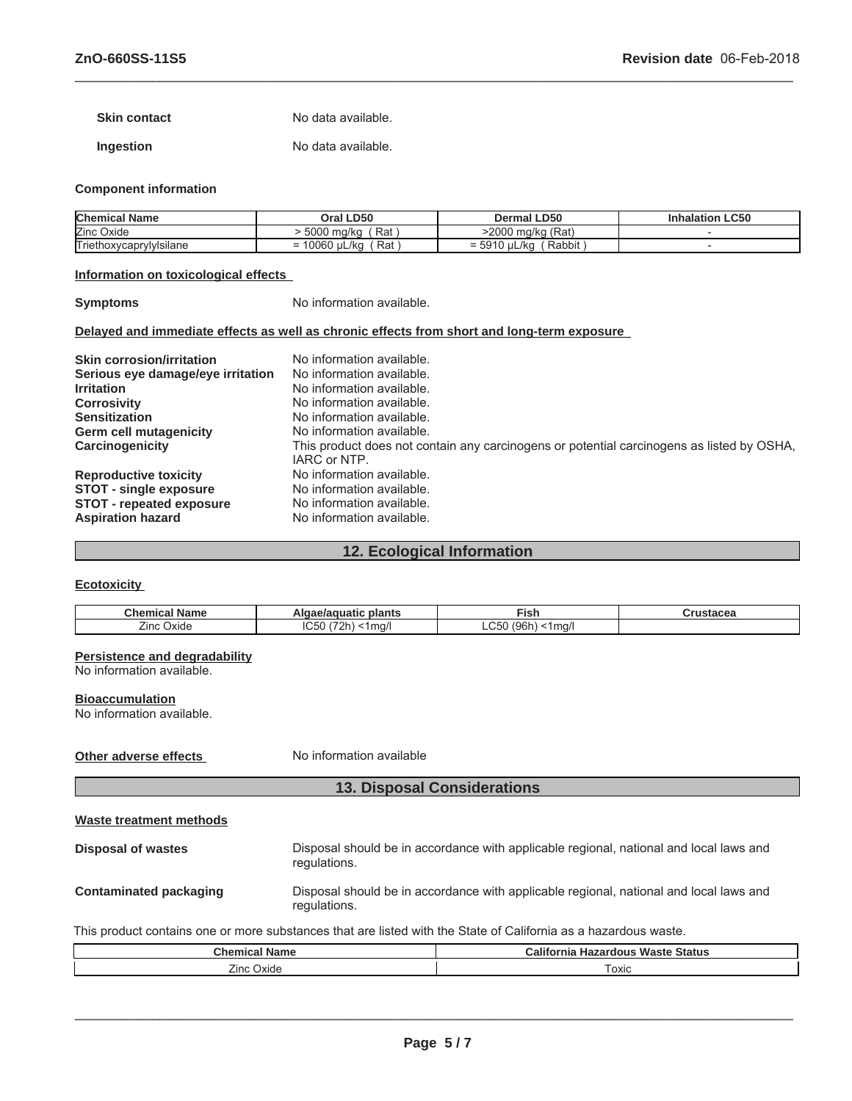**Skin contact** No data available.

**Ingestion** No data available.

#### **Component information**

| <b>Chemical Name</b>    | Oral LD50            | <b>Dermal LD50</b>          | <b>LC50</b><br>Inhalation |
|-------------------------|----------------------|-----------------------------|---------------------------|
| Zinc Oxide              | Rat<br>5000<br>ma/ka | ) ma/ka (Rat)<br>2000       |                           |
| Triethoxycaprylylsilane | Rat<br>10060 uL/ka   | Rabbit<br>uL/ka<br>$= 5910$ |                           |

 $\_$  ,  $\_$  ,  $\_$  ,  $\_$  ,  $\_$  ,  $\_$  ,  $\_$  ,  $\_$  ,  $\_$  ,  $\_$  ,  $\_$  ,  $\_$  ,  $\_$  ,  $\_$  ,  $\_$  ,  $\_$  ,  $\_$  ,  $\_$  ,  $\_$  ,  $\_$  ,  $\_$  ,  $\_$  ,  $\_$  ,  $\_$  ,  $\_$  ,  $\_$  ,  $\_$  ,  $\_$  ,  $\_$  ,  $\_$  ,  $\_$  ,  $\_$  ,  $\_$  ,  $\_$  ,  $\_$  ,  $\_$  ,  $\_$  ,

#### **Information on toxicological effects**

**Symptoms** No information available.

#### **Delayed and immediate effects as well as chronic effects from short and long-term exposure**

| <b>Skin corrosion/irritation</b>  | No information available.                                                                                 |
|-----------------------------------|-----------------------------------------------------------------------------------------------------------|
| Serious eye damage/eye irritation | No information available.                                                                                 |
| <b>Irritation</b>                 | No information available.                                                                                 |
| <b>Corrosivity</b>                | No information available.                                                                                 |
| <b>Sensitization</b>              | No information available.                                                                                 |
| <b>Germ cell mutagenicity</b>     | No information available.                                                                                 |
| Carcinogenicity                   | This product does not contain any carcinogens or potential carcinogens as listed by OSHA,<br>IARC or NTP. |
| <b>Reproductive toxicity</b>      | No information available.                                                                                 |
| <b>STOT - single exposure</b>     | No information available.                                                                                 |
| <b>STOT - repeated exposure</b>   | No information available.                                                                                 |
| <b>Aspiration hazard</b>          | No information available.                                                                                 |

# **12. Ecological Information**

#### **Ecotoxicity**

| Chemical<br>Name | plants<br>Algae/aguatic                                   | j<br>- - - -<br>וכו                                                        | urustacea |
|------------------|-----------------------------------------------------------|----------------------------------------------------------------------------|-----------|
| Zinc<br>Oxide    | <b>IC50</b><br>$\sim$<br>ma/l<br>$\overline{\phantom{a}}$ | $\sim$ $\sim$ $\sim$<br>$\sim$ $\sim$ $\sim$<br>1ma/<br>. .<br>ּוטפ<br>-vv |           |

#### **Persistence and degradability**

No information available.

#### **Bioaccumulation**

No information available.

# **Other adverse effects** No information available

# **13. Disposal Considerations**

```
Waste treatment methods
```

| Disposal of wastes     | Disposal should be in accordance with applicable regional, national and local laws and<br>regulations. |
|------------------------|--------------------------------------------------------------------------------------------------------|
| Contaminated packaging | Disposal should be in accordance with applicable regional, national and local laws and<br>regulations. |

# This product contains one or more substances that are listed with the State of California as a hazardous waste.

| Chemical<br>Name  | California<br><b>Waste Status</b><br>Hazardous |  |
|-------------------|------------------------------------------------|--|
| <b>Zinc Oxide</b> | oxic                                           |  |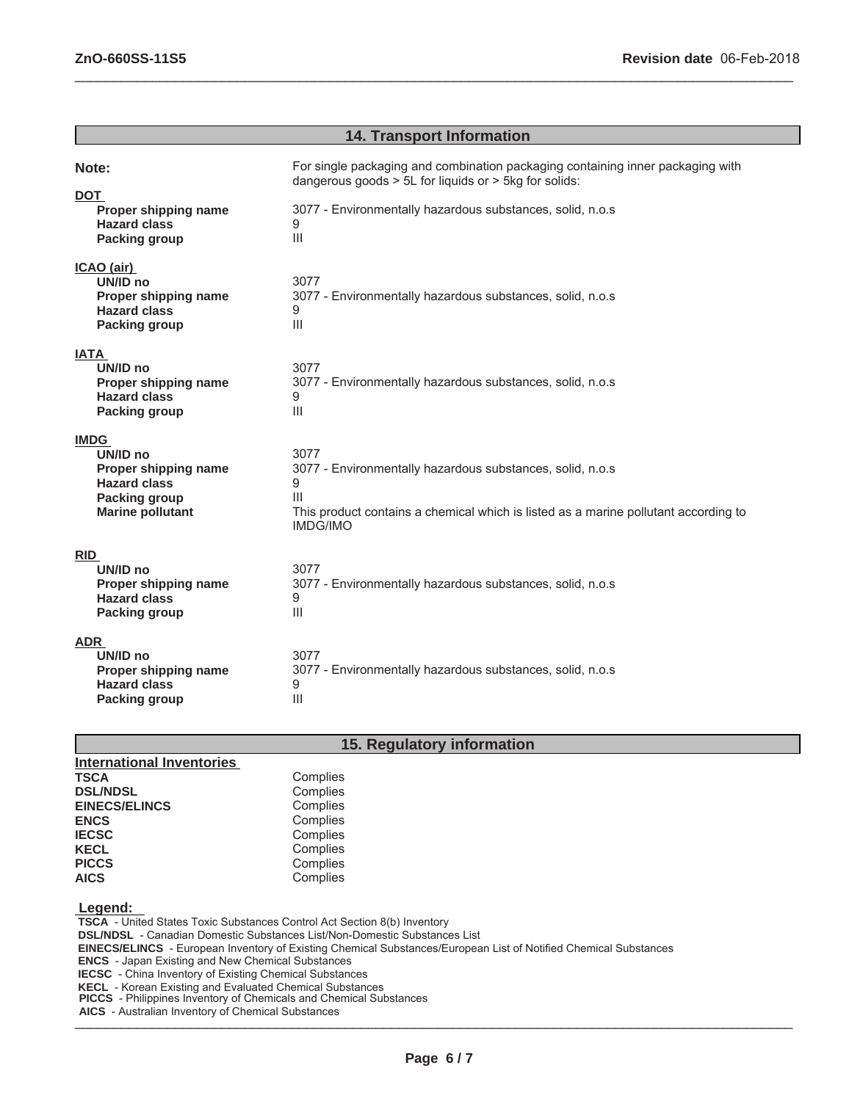| <b>14. Transport Information</b>                                                                                          |                                                                                                                                                                                       |  |  |  |
|---------------------------------------------------------------------------------------------------------------------------|---------------------------------------------------------------------------------------------------------------------------------------------------------------------------------------|--|--|--|
| Note:<br><b>DOT</b>                                                                                                       | For single packaging and combination packaging containing inner packaging with<br>dangerous goods $> 5L$ for liquids or $> 5kg$ for solids:                                           |  |  |  |
| Proper shipping name<br><b>Hazard class</b><br><b>Packing group</b>                                                       | 3077 - Environmentally hazardous substances, solid, n.o.s<br>9<br>$\mathop{\mathsf{III}}\nolimits$                                                                                    |  |  |  |
| ICAO (air)<br>UN/ID no<br>Proper shipping name<br><b>Hazard class</b><br><b>Packing group</b>                             | 3077<br>3077 - Environmentally hazardous substances, solid, n.o.s<br>9<br>III                                                                                                         |  |  |  |
| <b>IATA</b><br>UN/ID no<br>Proper shipping name<br><b>Hazard class</b><br><b>Packing group</b>                            | 3077<br>3077 - Environmentally hazardous substances, solid, n.o.s<br>9<br>$\mathbf{III}$                                                                                              |  |  |  |
| <b>IMDG</b><br>UN/ID no<br>Proper shipping name<br><b>Hazard class</b><br><b>Packing group</b><br><b>Marine pollutant</b> | 3077<br>3077 - Environmentally hazardous substances, solid, n.o.s<br>9<br>Ш<br>This product contains a chemical which is listed as a marine pollutant according to<br><b>IMDG/IMO</b> |  |  |  |
| <b>RID</b><br>UN/ID no<br>Proper shipping name<br><b>Hazard class</b><br><b>Packing group</b>                             | 3077<br>3077 - Environmentally hazardous substances, solid, n.o.s<br>9<br>$\mathbf{III}$                                                                                              |  |  |  |
| <b>ADR</b><br>UN/ID no<br>Proper shipping name<br><b>Hazard class</b><br><b>Packing group</b>                             | 3077<br>3077 - Environmentally hazardous substances, solid, n.o.s<br>9<br>$\mathbf{III}$                                                                                              |  |  |  |

 $\_$  ,  $\_$  ,  $\_$  ,  $\_$  ,  $\_$  ,  $\_$  ,  $\_$  ,  $\_$  ,  $\_$  ,  $\_$  ,  $\_$  ,  $\_$  ,  $\_$  ,  $\_$  ,  $\_$  ,  $\_$  ,  $\_$  ,  $\_$  ,  $\_$  ,  $\_$  ,  $\_$  ,  $\_$  ,  $\_$  ,  $\_$  ,  $\_$  ,  $\_$  ,  $\_$  ,  $\_$  ,  $\_$  ,  $\_$  ,  $\_$  ,  $\_$  ,  $\_$  ,  $\_$  ,  $\_$  ,  $\_$  ,  $\_$  ,

# **15. Regulatory information**

| <b>International Inventories</b> |          |
|----------------------------------|----------|
| <b>TSCA</b>                      | Complies |
| <b>DSL/NDSL</b>                  | Complies |
| <b>EINECS/ELINCS</b>             | Complies |
| <b>ENCS</b>                      | Complies |
| <b>IECSC</b>                     | Complies |
| <b>KECL</b>                      | Complies |
| <b>PICCS</b>                     | Complies |
| <b>AICS</b>                      | Complies |

#### **Legend:**

 **TSCA** - United States Toxic Substances Control Act Section 8(b) Inventory  **DSL/NDSL** - Canadian Domestic Substances List/Non-Domestic Substances List  **EINECS/ELINCS** - European Inventory of Existing Chemical Substances/European List of Notified Chemical Substances  **ENCS** - Japan Existing and New Chemical Substances  **IECSC** - China Inventory of Existing Chemical Substances  **KECL** - Korean Existing and Evaluated Chemical Substances  **PICCS** - Philippines Inventory of Chemicals and Chemical Substances

\_\_\_\_\_\_\_\_\_\_\_\_\_\_\_\_\_\_\_\_\_\_\_\_\_\_\_\_\_\_\_\_\_\_\_\_\_\_\_\_\_\_\_\_\_\_\_\_\_\_\_\_\_\_\_\_\_\_\_\_\_\_\_\_\_\_\_\_\_\_\_\_\_\_\_\_\_\_\_\_\_\_\_\_\_\_\_\_\_\_\_\_\_  **AICS** - Australian Inventory of Chemical Substances